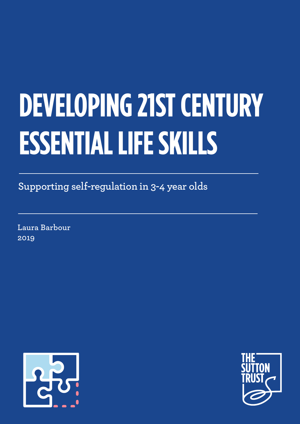# **DEVELOPING 21ST CENTURY ESSENTIAL LIFE SKILLS**

**Supporting self-regulation in 3-4 year olds**

**Laura Barbour 2019**



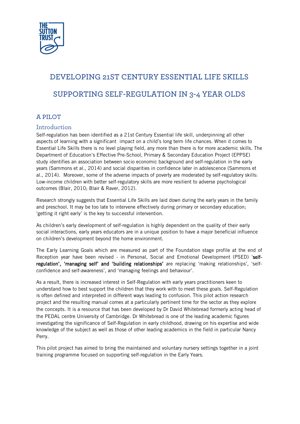

# **DEVELOPING 21ST CENTURY ESSENTIAL LIFE SKILLS SUPPORTING SELF-REGULATION IN 3-4 YEAR OLDS**

### **A PILOT**

#### Introduction

Self-regulation has been identified as a 21st Century Essential life skill, underpinning all other aspects of learning with a significant impact on a child's long term life chances. When it comes to Essential Life Skills there is no level playing field, any more than there is for more academic skills. The Department of Education's Effective Pre-School, Primary & Secondary Education Project (EPPSE) study identifies an association between socio economic background and self-regulation in the early years (Sammons et al., 2014) and social disparities in confidence later in adolescence (Sammons et al., 2014). Moreover, some of the adverse impacts of poverty are moderated by self-regulatory skills: Low-income children with better self-regulatory skills are more resilient to adverse psychological outcomes (Blair, 2010; Blair & Raver, 2012).

Research strongly suggests that Essential Life Skills are laid down during the early years in the family and preschool. It may be too late to intervene effectively during primary or secondary education; 'getting it right early' is the key to successful intervention.

As children's early development of self-regulation is highly dependent on the quality of their early social interactions, early years educators are in a unique position to have a major beneficial influence on children's development beyond the home environment.

The Early Learning Goals which are measured as part of the Foundation stage profile at the end of Reception year have been revised - in Personal, Social and Emotional Development (PSED) 'selfregulation', 'managing self' and 'building relationships' are replacing 'making relationships', 'selfconfidence and self-awareness', and 'managing feelings and behaviour'.

As a result, there is increased interest in Self-Regulation with early years practitioners keen to understand how to best support the children that they work with to meet these goals. Self-Regulation is often defined and interpreted in different ways leading to confusion. This pilot action research project and the resulting manual comes at a particularly pertinent time for the sector as they explore the concepts. It is a resource that has been developed by Dr David Whitebread formerly acting head of the PEDAL centre University of Cambridge. Dr Whitebread is one of the leading academic figures investigating the significance of Self-Regulation in early childhood, drawing on his expertise and wide knowledge of the subject as well as those of other leading academics in the field in particular Nancy Perry.

This pilot project has aimed to bring the maintained and voluntary nursery settings together in a joint training programme f[ocused o](https://ecps.educ.ubc.ca/person/nancy-perry/)n supporting self-regulation in the Early Years.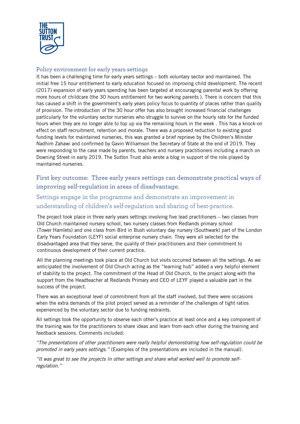

#### Policy environment for early years settings

It has been a challenging time for early years settings – both voluntary sector and maintained. The initial free 15 hour entitlement to early education focused on improving child development. The recent (2017) expansion of early years spending has been targeted at encouraging parental work by offering more hours of childcare (the 30 hours entitlement for two working parents ). There is concern that this has caused a shift in the government's early years policy focus to quantity of places rather than quality of provision. The introduction of the 30 hour offer has also brought increased financial challenges particularly for the voluntary sector nurseries who struggle to survive on the hourly rate for the funded hours when they are no longer able to top up via the remaining hours in the week . This has a knock-on effect on staff recruitment, retention and morale. There was a proposed reduction to existing good funding levels for maintained nurseries, this was granted a brief reprieve by the Children's Minister Nadhim Zahawi and confirmed by Gavin Williamson the Secretary of State at the end of 2019. They were responding to the case made by parents, teachers and nursery practitioners including a march on Downing Street in early 2019. The Sutton Trust also wrote a [blog](https://www.suttontrust.com/newsarchive/maintained-nurseries-the-jewel-in-the-social-mobility-crown/) in support of the role played by maintained nurseries.

# First key outcome: Three early years settings can demonstrate practical ways of improving self-regulation in areas of disadvantage.

# Settings engage in the programme and demonstrate an improvement in understanding of children's self-regulation and sharing of best-practice.

The project took place in three early years settings involving five lead practitioners – two classes from Old Church maintained nursery school, two nursery classes from Redlands primary school (Tower Hamlets) and one class from Bird in Bush voluntary day nursery (Southwark) part of the London Early Years Foundation (LEYF) social enterprise nursery chain. They were all selected for the disadvantaged area that they serve, the quality of their practitioners and their commitment to continuous development of their current practice.

All the planning meetings took place at Old Church but visits occurred between all the settings. As we anticipated the involvement of Old Church acting as the "learning hub" added a very helpful element of stability to the project. The commitment of the Head of Old Church, to the project along with the support from the Headteacher at Redlands Primary and CEO of LEYF played a valuable part in the success of the project.

There was an exceptional level of commitment from all the staff involved, but there were occasions when the extra demands of the pilot project served as a reminder of the challenges of tight ratios experienced by the voluntary sector due to funding restraints.

All settings took the opportunity to observe each other's practice at least once and a key component of the training was for the practitioners to share ideas and learn from each other during the training and feedback sessions. Comments included:

"The presentations of other practitioners were really helpful demonstrating how self-regulation could be promoted in early years settings." (Examples of the presentations are included in the manual).

"It was great to see the projects In other settings and share what worked well to promote selfregulation."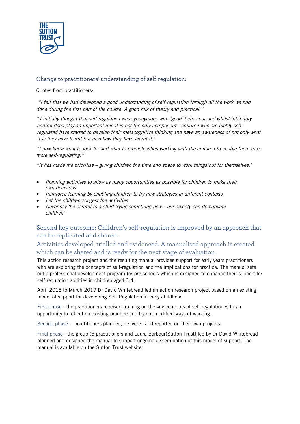

## Change to practitioners' understanding of self-regulation:

Quotes from practitioners:

"I felt that we had developed a good understanding of self-regulation through all the work we had done during the first part of the course. A good mix of theory and practical."

"I initially thought that self-regulation was synonymous with 'good' behaviour and whilst inhibitory control does play an important role it is not the only component - children who are highly selfregulated have started to develop their metacognitive thinking and have an awareness of not only what it is they have learnt but also how they have learnt it."

"I now know what to look for and what to promote when working with the children to enable them to be more self-regulating."

"It has made me prioritise – giving children the time and space to work things out for themselves."

- Planning activities to allow as many opportunities as possible for children to make their own decisions
- Reinforce learning by enabling children to try new strategies in different contexts
- Let the children suggest the activities.
- Never say 'be careful to a child trying something new our anxiety can demotivate children"

### Second key outcome: Children's self-regulation is improved by an approach that can be replicated and shared.

Activities developed, trialled and evidenced. A manualised approach is created which can be shared and is ready for the next stage of evaluation.

This action research project and the resulting manual provides support for early years practitioners who are exploring the concepts of self-regulation and the implications for practice. The manual sets out a professional development program for pre-schools which is designed to enhance their support for self-regulation abilities in children aged 3-4.

April 2018 to March 2019 Dr David Whitebread led an action research project based on an existing model of support for developing Self-Regulation in early childhood.

First phase - the practitioners received training on the key concepts of self-regulation with an opportunity to reflect on existing practice and try out modified ways of working.

Second phase - practitioners planned, delivered and reported on their own projects.

Final phase - the group (5 practitioners and Laura Barbour(Sutton Trust) led by Dr David Whitebread planned and designed the manual to support ongoing dissemination of this model of support. The manual is available on the Sutton Trust website.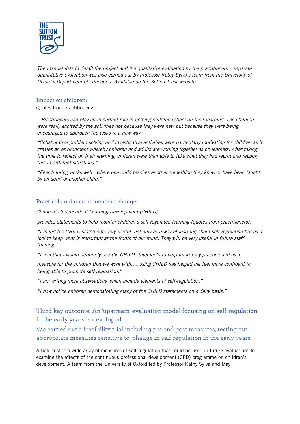

The manual lists in detail the project and the qualitative evaluation by the practitioners – separate quantitative evaluation was also carried out by Professor Kathy Sylva's team from the University of Oxford's Department of education. Available on the Sutton Trust website.

#### Impact on children:

Quotes from practitioners:

"Practitioners can play an important role in helping children reflect on their learning. The children were really excited by the activities not because they were new but because they were being encouraged to approach the tasks in a new way."

"Collaborative problem solving and investigative activities were particularly motivating for children as it creates an environment whereby children and adults are working together as co-learners. After taking the time to reflect on their learning, children were then able to take what they had learnt and reapply this in different situations."

"Peer tutoring works well , where one child teaches another something they know or have been taught by an adult or another child."

#### Practical guidance influencing change:

Children's Independent Learning Development (CHILD)

provides statements to help monitor children's self-regulated learning (quotes from practitioners):

"I found the CHILD statements very useful, not only as a way of learning about self-regulation but as <sup>a</sup> tool to keep what is important at the fronts of our mind. They will be very useful in future staff training."

"I feel that I would definitely use the CHILD statements to help inform my practice and as a

measure for the children that we work with…. using CHILD has helped me feel more confident in being able to promote self-regulation."

"I am writing more observations which include elements of self-regulation."

"I now notice children demonstrating many of the CHILD statements on a daily basis."

# Third key outcome: An 'upstream' evaluation model focusing on self-regulation in the early years is developed.

We carried out a feasibility trial including pre and post measures, testing out appropriate measures sensitive to change in self-regulation in the early years.

A field-test of a wide array of measures of self-regulation that could be used in future evaluations to examine the effects of the continuous professional development (CPD) programme on children's development. A team from the University of Oxford led by Professor Kathy Sylva and May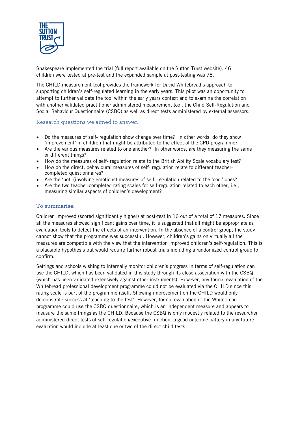

Shakespeare implemented the trial (full report available on the Sutton Trust website). 46 children were tested at pre-test and the expanded sample at post-testing was 78.

The CHILD measurement tool provides the framework for David Whitebread's approach to supporting children's self-regulated learning in the early years. This pilot was an opportunity to attempt to further validate the tool within the early years context and to examine the correlation with another validated practitioner administered measurement tool, the Child Self-Regulation and Social Behaviour Questionnaire (CSBQ) as well as direct tests administered by external assessors.

#### Research questions we aimed to answer:

- Do the measures of self- regulation show change over time? In other words, do they show 'improvement' in children that might be attributed to the effect of the CPD programme?
- Are the various measures related to one another? In other words, are they measuring the same or different things?
- How do the measures of self- regulation relate to the British Ability Scale vocabulary test?
- How do the direct, behavioural measures of self- regulation relate to different teachercompleted questionnaires?
- Are the 'hot' (involving emotions) measures of self- regulation related to the 'cool' ones?
- Are the two teacher-completed rating scales for self-regulation related to each other, i.e., measuring similar aspects of children's development?

#### To summarise:

Children improved (scored significantly higher) at post-test in 16 out of a total of 17 measures. Since all the measures showed significant gains over time, it is suggested that all might be appropriate as evaluation tools to detect the effects of an intervention. In the absence of a control group, the study cannot show that the programme was successful. However, children's gains on virtually all the measures are compatible with the view that the intervention improved children's self-regulation. This is a plausible hypothesis but would require further robust trials including a randomized control group to confirm.

Settings and schools wishing to internally monitor children's progress in terms of self-regulation can use the CHILD, which has been validated in this study through its close association with the CSBQ (which has been validated extensively against other instruments). However, any formal evaluation of the Whitebread professional development programme could not be evaluated via the CHILD since this rating scale is part of the programme itself. Showing improvement on the CHILD would only demonstrate success at 'teaching to the test'. However, formal evaluation of the Whitebread programme could use the CSBQ questionnaire, which is an independent measure and appears to measure the same things as the CHILD. Because the CSBQ is only modestly related to the researcher administered direct tests of self-regulation/executive function, a good outcome battery in any future evaluation would include at least one or two of the direct child tests.